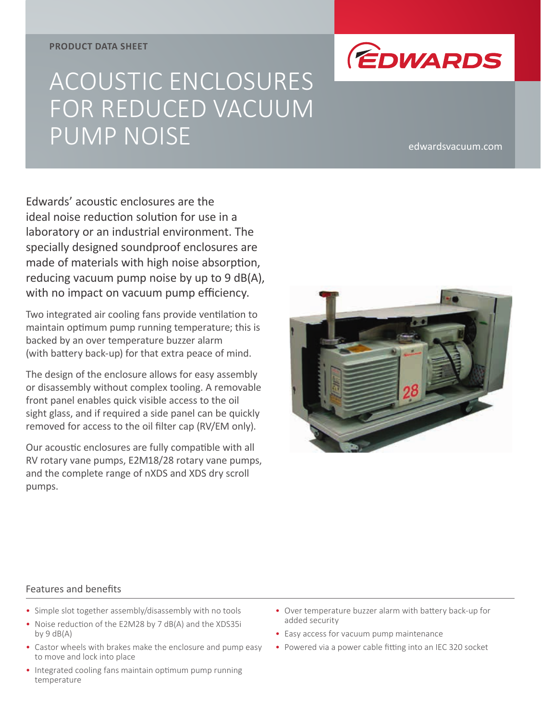#### **PRODUCT DATA SHEET**

# ACOUSTIC ENCLOSURES FOR REDUCED VACUUM PUMP NOISE edwardsvacuum.com

*<u>EDWARDS</u>* 

Edwards' acoustic enclosures are the ideal noise reduction solution for use in a laboratory or an industrial environment. The specially designed soundproof enclosures are made of materials with high noise absorption, reducing vacuum pump noise by up to 9 dB(A), with no impact on vacuum pump efficiency.

Two integrated air cooling fans provide ventilation to maintain optimum pump running temperature; this is backed by an over temperature buzzer alarm (with battery back-up) for that extra peace of mind.

The design of the enclosure allows for easy assembly or disassembly without complex tooling. A removable front panel enables quick visible access to the oil sight glass, and if required a side panel can be quickly removed for access to the oil filter cap (RV/EM only).

Our acoustic enclosures are fully compatible with all RV rotary vane pumps, E2M18/28 rotary vane pumps, and the complete range of nXDS and XDS dry scroll pumps.



#### Features and benefits

- Simple slot together assembly/disassembly with no tools
- Noise reduction of the E2M28 by 7 dB(A) and the XDS35i by  $9 dB(A)$
- Castor wheels with brakes make the enclosure and pump easy to move and lock into place
- Integrated cooling fans maintain optimum pump running temperature
- Over temperature buzzer alarm with battery back-up for added security
- Easy access for vacuum pump maintenance
- Powered via a power cable fitting into an IEC 320 socket